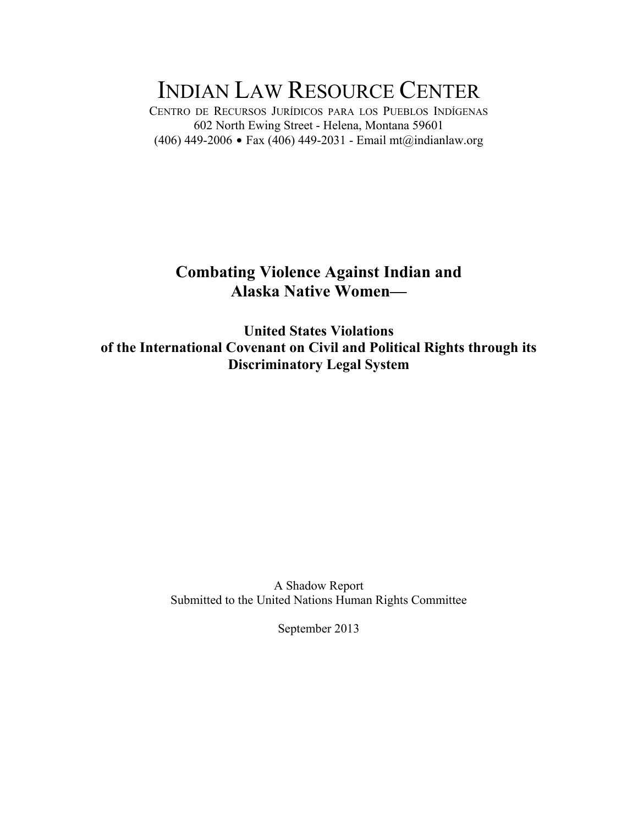# INDIAN LAW RESOURCE CENTER

CENTRO DE RECURSOS JURÍDICOS PARA LOS PUEBLOS INDÍGENAS 602 North Ewing Street - Helena, Montana 59601 (406) 449-2006 • Fax (406) 449-2031 - Email mt@indianlaw.org

# **Combating Violence Against Indian and Alaska Native Women—**

**United States Violations of the International Covenant on Civil and Political Rights through its Discriminatory Legal System** 

> A Shadow Report Submitted to the United Nations Human Rights Committee

> > September 2013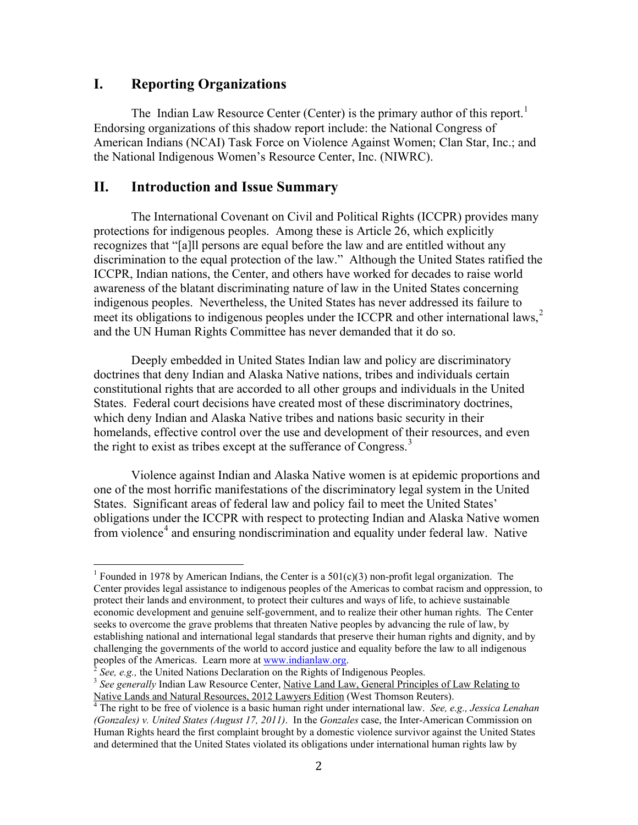### **I. Reporting Organizations**

The Indian Law Resource Center (Center) is the primary author of this report.<sup>[1](#page-1-0)</sup> Endorsing organizations of this shadow report include: the National Congress of American Indians (NCAI) Task Force on Violence Against Women; Clan Star, Inc.; and the National Indigenous Women's Resource Center, Inc. (NIWRC).

#### **II. Introduction and Issue Summary**

The International Covenant on Civil and Political Rights (ICCPR) provides many protections for indigenous peoples. Among these is Article 26, which explicitly recognizes that "[a]ll persons are equal before the law and are entitled without any discrimination to the equal protection of the law." Although the United States ratified the ICCPR, Indian nations, the Center, and others have worked for decades to raise world awareness of the blatant discriminating nature of law in the United States concerning indigenous peoples. Nevertheless, the United States has never addressed its failure to meet its obligations to indigenous peoples under the ICCPR and other international laws, [2](#page-1-1) and the UN Human Rights Committee has never demanded that it do so.

Deeply embedded in United States Indian law and policy are discriminatory doctrines that deny Indian and Alaska Native nations, tribes and individuals certain constitutional rights that are accorded to all other groups and individuals in the United States. Federal court decisions have created most of these discriminatory doctrines, which deny Indian and Alaska Native tribes and nations basic security in their homelands, effective control over the use and development of their resources, and even the right to exist as tribes except at the sufferance of Congress.<sup>[3](#page-1-2)</sup>

Violence against Indian and Alaska Native women is at epidemic proportions and one of the most horrific manifestations of the discriminatory legal system in the United States. Significant areas of federal law and policy fail to meet the United States' obligations under the ICCPR with respect to protecting Indian and Alaska Native women from violence<sup>[4](#page-1-3)</sup> and ensuring nondiscrimination and equality under federal law. Native

<span id="page-1-0"></span><sup>&</sup>lt;sup>1</sup> Founded in 1978 by American Indians, the Center is a  $501(c)(3)$  non-profit legal organization. The Center provides legal assistance to indigenous peoples of the Americas to combat racism and oppression, to protect their lands and environment, to protect their cultures and ways of life, to achieve sustainable economic development and genuine self-government, and to realize their other human rights. The Center seeks to overcome the grave problems that threaten Native peoples by advancing the rule of law, by establishing national and international legal standards that preserve their human rights and dignity, and by challenging the governments of the world to accord justice and equality before the law to all indigenous peoples of the Americas. Learn more at www.indianlaw.org.<br><sup>2</sup> See, e.g., the United Nations Declaration on the Rights of Indigenous Peoples.

<span id="page-1-2"></span><span id="page-1-1"></span><sup>&</sup>lt;sup>3</sup> See generally Indian Law Resource Center, Native Land Law, General Principles of Law Relating to Native Lands and Natural Resources, 2012 Lawyers Edition (West Thomson Reuters). <sup>4</sup> The right to be free of violence is a basic human right under international law. *See, e.g., Jessica Lenahan* 

<span id="page-1-3"></span>*<sup>(</sup>Gonzales) v. United States (August 17, 2011)*. In the *Gonzales* case, the Inter-American Commission on Human Rights heard the first complaint brought by a domestic violence survivor against the United States and determined that the United States violated its obligations under international human rights law by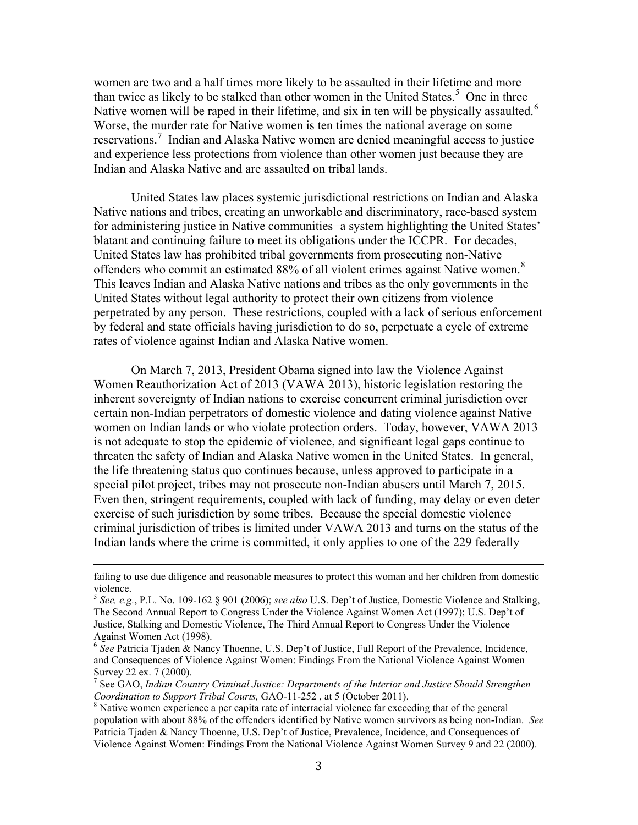women are two and a half times more likely to be assaulted in their lifetime and more than twice as likely to be stalked than other women in the United States.<sup>[5](#page-2-0)</sup> One in three Native women will be raped in their lifetime, and six in ten will be physically assaulted.<sup>[6](#page-2-1)</sup> Worse, the murder rate for Native women is ten times the national average on some reservations.<sup>[7](#page-2-2)</sup> Indian and Alaska Native women are denied meaningful access to justice and experience less protections from violence than other women just because they are Indian and Alaska Native and are assaulted on tribal lands.

United States law places systemic jurisdictional restrictions on Indian and Alaska Native nations and tribes, creating an unworkable and discriminatory, race-based system for administering justice in Native communities−a system highlighting the United States' blatant and continuing failure to meet its obligations under the ICCPR. For decades, United States law has prohibited tribal governments from prosecuting non-Native offenders who commit an estimated [8](#page-2-3)8% of all violent crimes against Native women.<sup>8</sup> This leaves Indian and Alaska Native nations and tribes as the only governments in the United States without legal authority to protect their own citizens from violence perpetrated by any person. These restrictions, coupled with a lack of serious enforcement by federal and state officials having jurisdiction to do so, perpetuate a cycle of extreme rates of violence against Indian and Alaska Native women.

On March 7, 2013, President Obama signed into law the Violence Against Women Reauthorization Act of 2013 (VAWA 2013), historic legislation restoring the inherent sovereignty of Indian nations to exercise concurrent criminal jurisdiction over certain non-Indian perpetrators of domestic violence and dating violence against Native women on Indian lands or who violate protection orders. Today, however, VAWA 2013 is not adequate to stop the epidemic of violence, and significant legal gaps continue to threaten the safety of Indian and Alaska Native women in the United States. In general, the life threatening status quo continues because, unless approved to participate in a special pilot project, tribes may not prosecute non-Indian abusers until March 7, 2015. Even then, stringent requirements, coupled with lack of funding, may delay or even deter exercise of such jurisdiction by some tribes. Because the special domestic violence criminal jurisdiction of tribes is limited under VAWA 2013 and turns on the status of the Indian lands where the crime is committed, it only applies to one of the 229 federally

failing to use due diligence and reasonable measures to protect this woman and her children from domestic violence.

<span id="page-2-0"></span><sup>5</sup> *See, e.g.*, P.L. No. 109-162 § 901 (2006); *see also* U.S. Dep't of Justice, Domestic Violence and Stalking, The Second Annual Report to Congress Under the Violence Against Women Act (1997); U.S. Dep't of Justice, Stalking and Domestic Violence, The Third Annual Report to Congress Under the Violence Against Women Act (1998).

<span id="page-2-1"></span><sup>&</sup>lt;sup>6</sup> See Patricia Tjaden & Nancy Thoenne, U.S. Dep't of Justice, Full Report of the Prevalence, Incidence, and Consequences of Violence Against Women: Findings From the National Violence Against Women Survey 22 ex. 7 (2000).

<span id="page-2-2"></span><sup>7</sup> See GAO, *Indian Country Criminal Justice: Departments of the Interior and Justice Should Strengthen Coordination to Support Tribal Courts, GAO-11-252*, at 5 (October 2011).<br><sup>8</sup> Native women experience a per capita rate of interracial violence far exceeding that of the general

<span id="page-2-3"></span>population with about 88% of the offenders identified by Native women survivors as being non-Indian. *See* Patricia Tjaden & Nancy Thoenne, U.S. Dep't of Justice, Prevalence, Incidence, and Consequences of Violence Against Women: Findings From the National Violence Against Women Survey 9 and 22 (2000).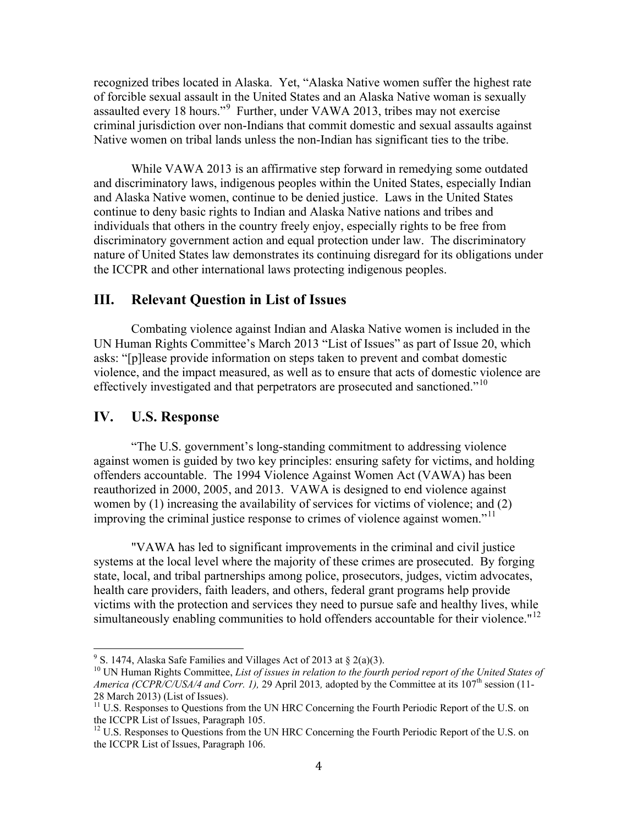recognized tribes located in Alaska. Yet, "Alaska Native women suffer the highest rate of forcible sexual assault in the United States and an Alaska Native woman is sexually assaulted every 18 hours."<sup>[9](#page-3-0)</sup> Further, under VAWA 2013, tribes may not exercise criminal jurisdiction over non-Indians that commit domestic and sexual assaults against Native women on tribal lands unless the non-Indian has significant ties to the tribe.

While VAWA 2013 is an affirmative step forward in remedying some outdated and discriminatory laws, indigenous peoples within the United States, especially Indian and Alaska Native women, continue to be denied justice. Laws in the United States continue to deny basic rights to Indian and Alaska Native nations and tribes and individuals that others in the country freely enjoy, especially rights to be free from discriminatory government action and equal protection under law. The discriminatory nature of United States law demonstrates its continuing disregard for its obligations under the ICCPR and other international laws protecting indigenous peoples.

#### **III. Relevant Question in List of Issues**

Combating violence against Indian and Alaska Native women is included in the UN Human Rights Committee's March 2013 "List of Issues" as part of Issue 20, which asks: "[p]lease provide information on steps taken to prevent and combat domestic violence, and the impact measured, as well as to ensure that acts of domestic violence are effectively investigated and that perpetrators are prosecuted and sanctioned."<sup>[10](#page-3-1)</sup>

#### **IV. U.S. Response**

"The U.S. government's long-standing commitment to addressing violence against women is guided by two key principles: ensuring safety for victims, and holding offenders accountable. The 1994 Violence Against Women Act (VAWA) has been reauthorized in 2000, 2005, and 2013. VAWA is designed to end violence against women by (1) increasing the availability of services for victims of violence; and (2) improving the criminal justice response to crimes of violence against women."<sup>[11](#page-3-2)</sup>

"VAWA has led to significant improvements in the criminal and civil justice systems at the local level where the majority of these crimes are prosecuted. By forging state, local, and tribal partnerships among police, prosecutors, judges, victim advocates, health care providers, faith leaders, and others, federal grant programs help provide victims with the protection and services they need to pursue safe and healthy lives, while simultaneously enabling communities to hold offenders accountable for their violence."<sup>[12](#page-3-3)</sup>

<span id="page-3-0"></span><sup>&</sup>lt;sup>9</sup> S. 1474, Alaska Safe Families and Villages Act of 2013 at  $\S$  2(a)(3).

<span id="page-3-1"></span><sup>&</sup>lt;sup>10</sup> UN Human Rights Committee, *List of issues in relation to the fourth period report of the United States of America (CCPR/C/USA/4 and Corr. 1), 29 April 2013, adopted by the Committee at its 107<sup>th</sup> session (11-*

<span id="page-3-2"></span><sup>28</sup> March 2013) (List of Issues). <sup>11</sup> U.S. Responses to Questions from the UN HRC Concerning the Fourth Periodic Report of the U.S. on the ICCPR List of Issues, Paragraph 105.

<span id="page-3-3"></span><sup>&</sup>lt;sup>12</sup> U.S. Responses to Questions from the UN HRC Concerning the Fourth Periodic Report of the U.S. on the ICCPR List of Issues, Paragraph 106.